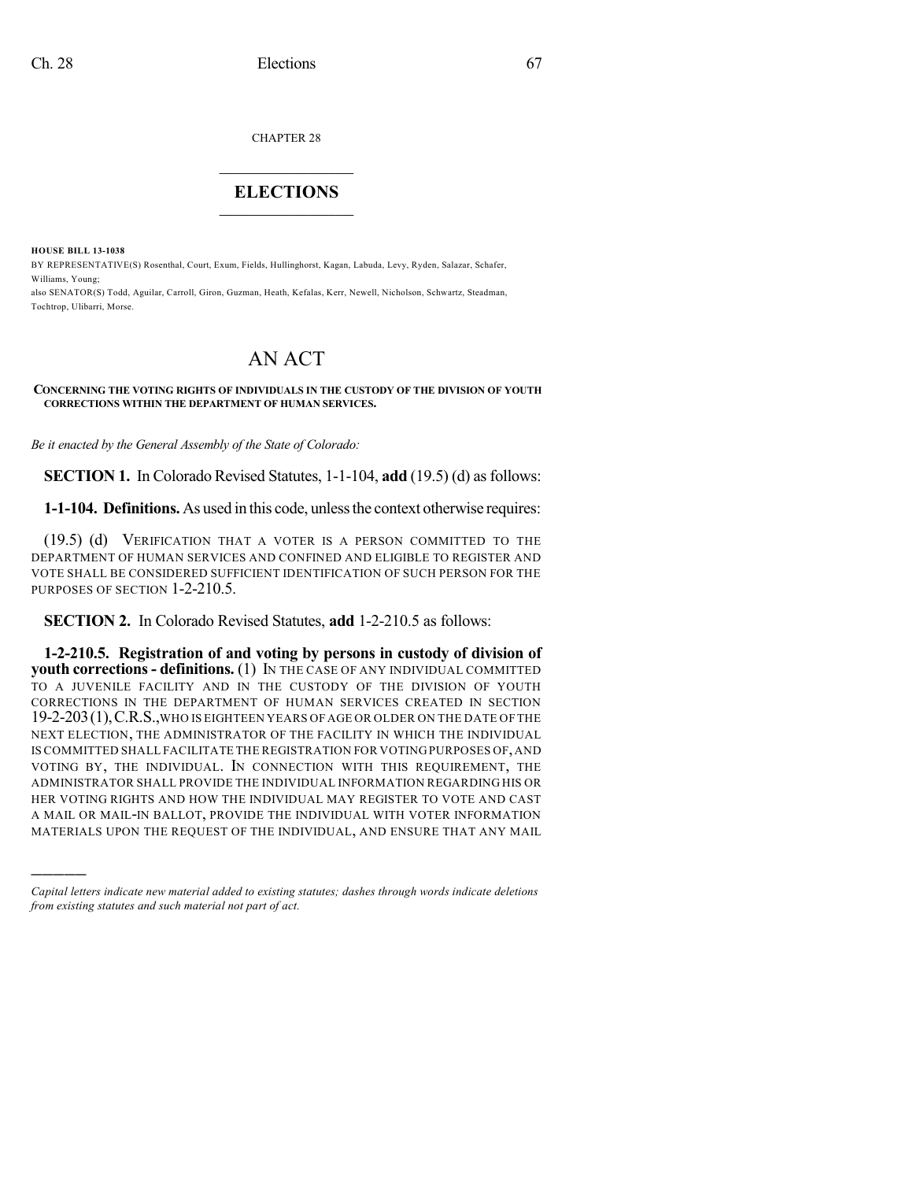CHAPTER 28

## $\overline{\phantom{a}}$  . The set of the set of the set of the set of the set of the set of the set of the set of the set of the set of the set of the set of the set of the set of the set of the set of the set of the set of the set o **ELECTIONS**  $\_$

**HOUSE BILL 13-1038**

)))))

BY REPRESENTATIVE(S) Rosenthal, Court, Exum, Fields, Hullinghorst, Kagan, Labuda, Levy, Ryden, Salazar, Schafer, Williams, Young;

also SENATOR(S) Todd, Aguilar, Carroll, Giron, Guzman, Heath, Kefalas, Kerr, Newell, Nicholson, Schwartz, Steadman, Tochtrop, Ulibarri, Morse.

# AN ACT

#### **CONCERNING THE VOTING RIGHTS OF INDIVIDUALS IN THE CUSTODY OF THE DIVISION OF YOUTH CORRECTIONS WITHIN THE DEPARTMENT OF HUMAN SERVICES.**

*Be it enacted by the General Assembly of the State of Colorado:*

**SECTION 1.** In Colorado Revised Statutes, 1-1-104, **add** (19.5) (d) as follows:

**1-1-104. Definitions.** As used in this code, unlessthe context otherwise requires:

(19.5) (d) VERIFICATION THAT A VOTER IS A PERSON COMMITTED TO THE DEPARTMENT OF HUMAN SERVICES AND CONFINED AND ELIGIBLE TO REGISTER AND VOTE SHALL BE CONSIDERED SUFFICIENT IDENTIFICATION OF SUCH PERSON FOR THE PURPOSES OF SECTION 1-2-210.5.

**SECTION 2.** In Colorado Revised Statutes, **add** 1-2-210.5 as follows:

**1-2-210.5. Registration of and voting by persons in custody of division of youth corrections- definitions.** (1) IN THE CASE OF ANY INDIVIDUAL COMMITTED TO A JUVENILE FACILITY AND IN THE CUSTODY OF THE DIVISION OF YOUTH CORRECTIONS IN THE DEPARTMENT OF HUMAN SERVICES CREATED IN SECTION 19-2-203(1),C.R.S.,WHO IS EIGHTEEN YEARS OF AGE OR OLDER ON THE DATE OF THE NEXT ELECTION, THE ADMINISTRATOR OF THE FACILITY IN WHICH THE INDIVIDUAL IS COMMITTED SHALL FACILITATE THE REGISTRATION FOR VOTING PURPOSES OF,AND VOTING BY, THE INDIVIDUAL. IN CONNECTION WITH THIS REQUIREMENT, THE ADMINISTRATOR SHALL PROVIDE THE INDIVIDUAL INFORMATION REGARDING HIS OR HER VOTING RIGHTS AND HOW THE INDIVIDUAL MAY REGISTER TO VOTE AND CAST A MAIL OR MAIL-IN BALLOT, PROVIDE THE INDIVIDUAL WITH VOTER INFORMATION MATERIALS UPON THE REQUEST OF THE INDIVIDUAL, AND ENSURE THAT ANY MAIL

*Capital letters indicate new material added to existing statutes; dashes through words indicate deletions from existing statutes and such material not part of act.*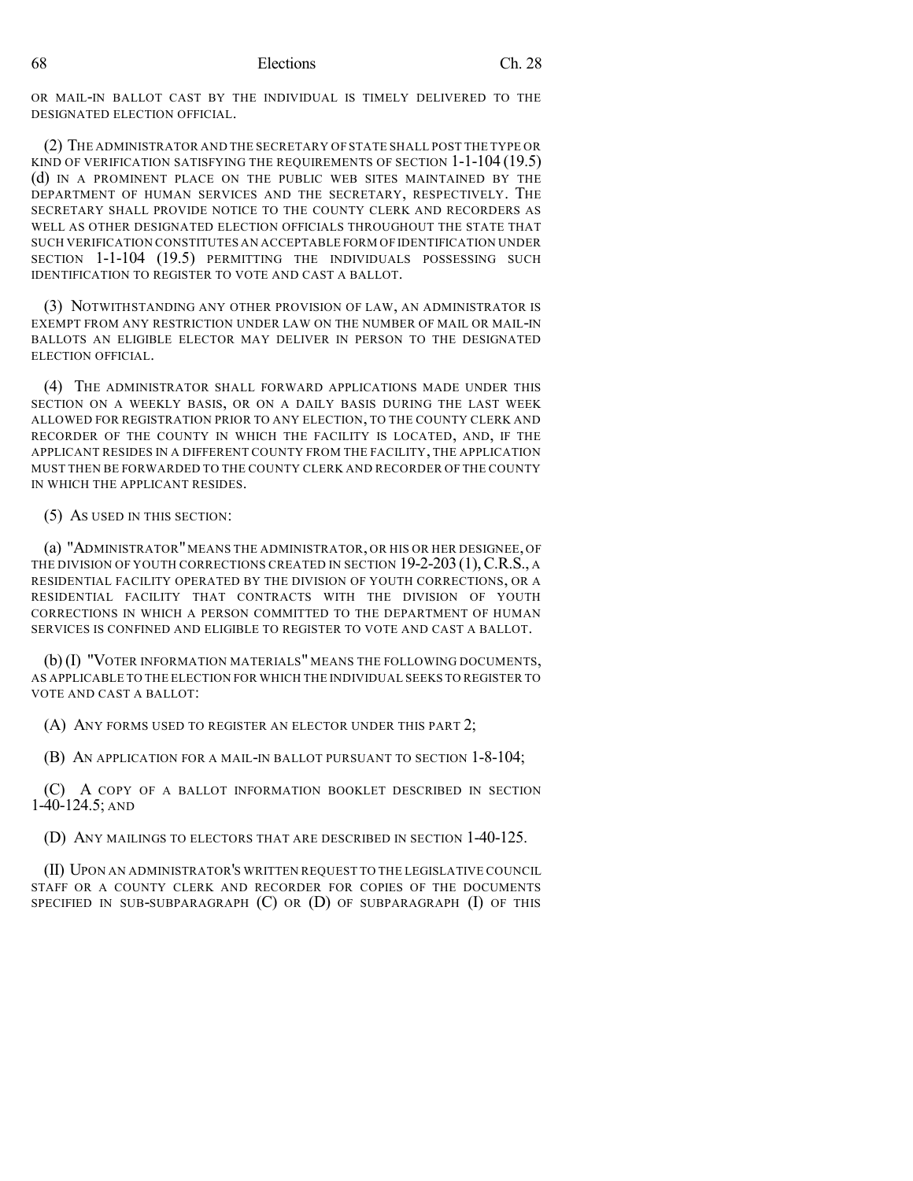68 Elections Ch. 28

OR MAIL-IN BALLOT CAST BY THE INDIVIDUAL IS TIMELY DELIVERED TO THE DESIGNATED ELECTION OFFICIAL.

(2) THE ADMINISTRATOR AND THE SECRETARY OF STATE SHALL POST THE TYPE OR KIND OF VERIFICATION SATISFYING THE REQUIREMENTS OF SECTION 1-1-104 (19.5) (d) IN A PROMINENT PLACE ON THE PUBLIC WEB SITES MAINTAINED BY THE DEPARTMENT OF HUMAN SERVICES AND THE SECRETARY, RESPECTIVELY. THE SECRETARY SHALL PROVIDE NOTICE TO THE COUNTY CLERK AND RECORDERS AS WELL AS OTHER DESIGNATED ELECTION OFFICIALS THROUGHOUT THE STATE THAT SUCH VERIFICATION CONSTITUTES AN ACCEPTABLE FORM OF IDENTIFICATION UNDER SECTION 1-1-104 (19.5) PERMITTING THE INDIVIDUALS POSSESSING SUCH IDENTIFICATION TO REGISTER TO VOTE AND CAST A BALLOT.

(3) NOTWITHSTANDING ANY OTHER PROVISION OF LAW, AN ADMINISTRATOR IS EXEMPT FROM ANY RESTRICTION UNDER LAW ON THE NUMBER OF MAIL OR MAIL-IN BALLOTS AN ELIGIBLE ELECTOR MAY DELIVER IN PERSON TO THE DESIGNATED ELECTION OFFICIAL.

(4) THE ADMINISTRATOR SHALL FORWARD APPLICATIONS MADE UNDER THIS SECTION ON A WEEKLY BASIS, OR ON A DAILY BASIS DURING THE LAST WEEK ALLOWED FOR REGISTRATION PRIOR TO ANY ELECTION, TO THE COUNTY CLERK AND RECORDER OF THE COUNTY IN WHICH THE FACILITY IS LOCATED, AND, IF THE APPLICANT RESIDES IN A DIFFERENT COUNTY FROM THE FACILITY, THE APPLICATION MUST THEN BE FORWARDED TO THE COUNTY CLERK AND RECORDER OF THE COUNTY IN WHICH THE APPLICANT RESIDES.

(5) AS USED IN THIS SECTION:

(a) "ADMINISTRATOR"MEANS THE ADMINISTRATOR, OR HIS OR HER DESIGNEE, OF THE DIVISION OF YOUTH CORRECTIONS CREATED IN SECTION 19-2-203 (1), C.R.S., A RESIDENTIAL FACILITY OPERATED BY THE DIVISION OF YOUTH CORRECTIONS, OR A RESIDENTIAL FACILITY THAT CONTRACTS WITH THE DIVISION OF YOUTH CORRECTIONS IN WHICH A PERSON COMMITTED TO THE DEPARTMENT OF HUMAN SERVICES IS CONFINED AND ELIGIBLE TO REGISTER TO VOTE AND CAST A BALLOT.

(b) (I) "VOTER INFORMATION MATERIALS" MEANS THE FOLLOWING DOCUMENTS, AS APPLICABLE TO THE ELECTION FOR WHICH THE INDIVIDUAL SEEKS TO REGISTER TO VOTE AND CAST A BALLOT:

(A) ANY FORMS USED TO REGISTER AN ELECTOR UNDER THIS PART 2;

(B) AN APPLICATION FOR A MAIL-IN BALLOT PURSUANT TO SECTION 1-8-104;

(C) A COPY OF A BALLOT INFORMATION BOOKLET DESCRIBED IN SECTION 1-40-124.5; AND

(D) ANY MAILINGS TO ELECTORS THAT ARE DESCRIBED IN SECTION 1-40-125.

(II) UPON AN ADMINISTRATOR'S WRITTEN REQUEST TO THE LEGISLATIVE COUNCIL STAFF OR A COUNTY CLERK AND RECORDER FOR COPIES OF THE DOCUMENTS SPECIFIED IN SUB-SUBPARAGRAPH (C) OR (D) OF SUBPARAGRAPH (I) OF THIS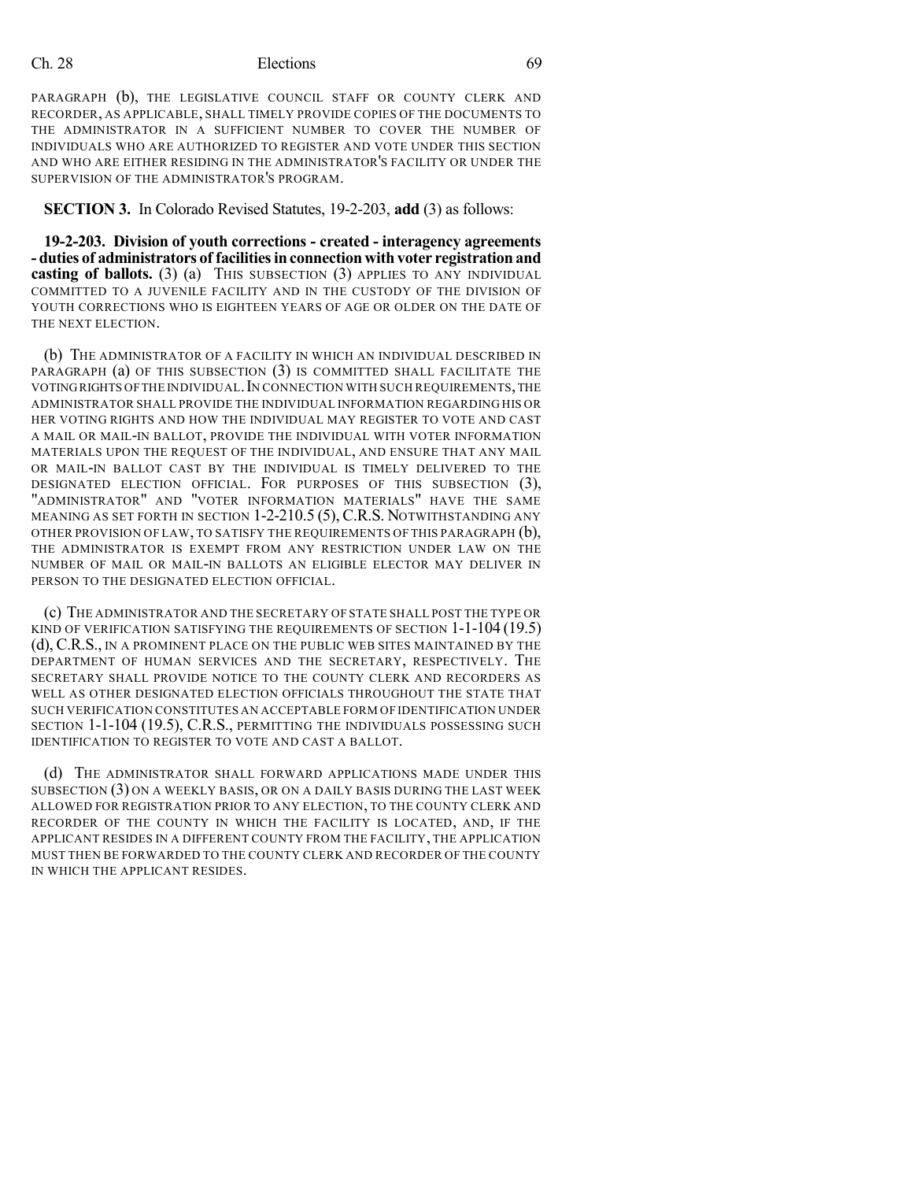### Ch. 28 Elections 69

PARAGRAPH (b), THE LEGISLATIVE COUNCIL STAFF OR COUNTY CLERK AND RECORDER, AS APPLICABLE, SHALL TIMELY PROVIDE COPIES OF THE DOCUMENTS TO THE ADMINISTRATOR IN A SUFFICIENT NUMBER TO COVER THE NUMBER OF INDIVIDUALS WHO ARE AUTHORIZED TO REGISTER AND VOTE UNDER THIS SECTION AND WHO ARE EITHER RESIDING IN THE ADMINISTRATOR'S FACILITY OR UNDER THE SUPERVISION OF THE ADMINISTRATOR'S PROGRAM.

#### **SECTION 3.** In Colorado Revised Statutes, 19-2-203, **add** (3) as follows:

**19-2-203. Division of youth corrections - created - interagency agreements - duties of administrators of facilitiesinconnectionwith voter registration and casting of ballots.** (3) (a) THIS SUBSECTION (3) APPLIES TO ANY INDIVIDUAL COMMITTED TO A JUVENILE FACILITY AND IN THE CUSTODY OF THE DIVISION OF YOUTH CORRECTIONS WHO IS EIGHTEEN YEARS OF AGE OR OLDER ON THE DATE OF THE NEXT ELECTION.

(b) THE ADMINISTRATOR OF A FACILITY IN WHICH AN INDIVIDUAL DESCRIBED IN PARAGRAPH (a) OF THIS SUBSECTION (3) IS COMMITTED SHALL FACILITATE THE VOTINGRIGHTS OFTHE INDIVIDUAL.IN CONNECTION WITH SUCH REQUIREMENTS,THE ADMINISTRATOR SHALL PROVIDE THE INDIVIDUAL INFORMATION REGARDING HIS OR HER VOTING RIGHTS AND HOW THE INDIVIDUAL MAY REGISTER TO VOTE AND CAST A MAIL OR MAIL-IN BALLOT, PROVIDE THE INDIVIDUAL WITH VOTER INFORMATION MATERIALS UPON THE REQUEST OF THE INDIVIDUAL, AND ENSURE THAT ANY MAIL OR MAIL-IN BALLOT CAST BY THE INDIVIDUAL IS TIMELY DELIVERED TO THE DESIGNATED ELECTION OFFICIAL. FOR PURPOSES OF THIS SUBSECTION (3), "ADMINISTRATOR" AND "VOTER INFORMATION MATERIALS" HAVE THE SAME MEANING AS SET FORTH IN SECTION 1-2-210.5 (5), C.R.S. NOTWITHSTANDING ANY OTHER PROVISION OF LAW, TO SATISFY THE REQUIREMENTS OF THIS PARAGRAPH (b), THE ADMINISTRATOR IS EXEMPT FROM ANY RESTRICTION UNDER LAW ON THE NUMBER OF MAIL OR MAIL-IN BALLOTS AN ELIGIBLE ELECTOR MAY DELIVER IN PERSON TO THE DESIGNATED ELECTION OFFICIAL.

(c) THE ADMINISTRATOR AND THE SECRETARY OF STATE SHALL POST THE TYPE OR KIND OF VERIFICATION SATISFYING THE REQUIREMENTS OF SECTION 1-1-104 (19.5) (d), C.R.S., IN A PROMINENT PLACE ON THE PUBLIC WEB SITES MAINTAINED BY THE DEPARTMENT OF HUMAN SERVICES AND THE SECRETARY, RESPECTIVELY. THE SECRETARY SHALL PROVIDE NOTICE TO THE COUNTY CLERK AND RECORDERS AS WELL AS OTHER DESIGNATED ELECTION OFFICIALS THROUGHOUT THE STATE THAT SUCH VERIFICATION CONSTITUTES AN ACCEPTABLE FORM OF IDENTIFICATION UNDER SECTION 1-1-104 (19.5), C.R.S., PERMITTING THE INDIVIDUALS POSSESSING SUCH IDENTIFICATION TO REGISTER TO VOTE AND CAST A BALLOT.

(d) THE ADMINISTRATOR SHALL FORWARD APPLICATIONS MADE UNDER THIS SUBSECTION (3) ON A WEEKLY BASIS, OR ON A DAILY BASIS DURING THE LAST WEEK ALLOWED FOR REGISTRATION PRIOR TO ANY ELECTION, TO THE COUNTY CLERK AND RECORDER OF THE COUNTY IN WHICH THE FACILITY IS LOCATED, AND, IF THE APPLICANT RESIDES IN A DIFFERENT COUNTY FROM THE FACILITY, THE APPLICATION MUST THEN BE FORWARDED TO THE COUNTY CLERK AND RECORDER OF THE COUNTY IN WHICH THE APPLICANT RESIDES.